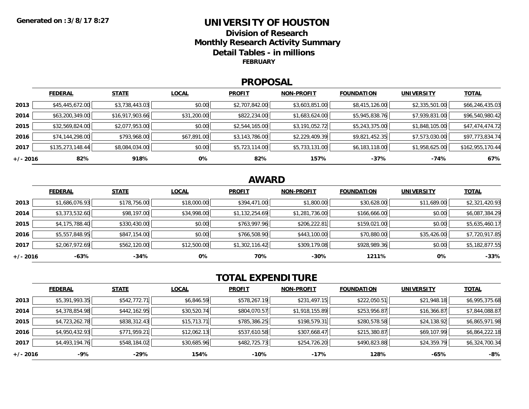## **UNIVERSITY OF HOUSTONDivision of ResearchMonthly Research Activity Summary Detail Tables - in millions FEBRUARY**

#### **PROPOSAL**

|            | <b>FEDERAL</b>   | <b>STATE</b>    | <b>LOCAL</b> | <b>PROFIT</b>  | <b>NON-PROFIT</b> | <b>FOUNDATION</b> | <b>UNIVERSITY</b> | <b>TOTAL</b>     |
|------------|------------------|-----------------|--------------|----------------|-------------------|-------------------|-------------------|------------------|
| 2013       | \$45,445,672.00  | \$3,738,443.03  | \$0.00       | \$2,707,842.00 | \$3,603,851.00    | \$8,415,126.00    | \$2,335,501.00    | \$66,246,435.03  |
| 2014       | \$63,200,349.00  | \$16,917,903.66 | \$31,200.00  | \$822,234.00   | \$1,683,624.00    | \$5,945,838.76    | \$7,939,831.00    | \$96,540,980.42  |
| 2015       | \$32,569,824.00  | \$2,077,953.00  | \$0.00       | \$2,544,165.00 | \$3,191,052.72    | \$5,243,375.00    | \$1,848,105.00    | \$47,474,474.72  |
| 2016       | \$74,144,298.00  | \$793,968.00    | \$67,891.00  | \$3,143,786.00 | \$2,229,409.39    | \$9,821,452.35    | \$7,573,030.00    | \$97,773,834.74  |
| 2017       | \$135,273,148.44 | \$8,084,034.00  | \$0.00       | \$5,723,114.00 | \$5,733,131.00    | \$6,183,118.00    | \$1,958,625.00    | \$162,955,170.44 |
| $+/- 2016$ | 82%              | 918%            | 0%           | 82%            | 157%              | $-37%$            | -74%              | 67%              |

# **AWARD**

|            | <b>FEDERAL</b> | <b>STATE</b> | <b>LOCAL</b> | <b>PROFIT</b>  | <b>NON-PROFIT</b> | <b>FOUNDATION</b> | <b>UNIVERSITY</b> | <b>TOTAL</b>   |
|------------|----------------|--------------|--------------|----------------|-------------------|-------------------|-------------------|----------------|
| 2013       | \$1,686,076.93 | \$178,756.00 | \$18,000.00  | \$394,471.00   | \$1,800.00        | \$30,628.00       | \$11,689.00       | \$2,321,420.93 |
| 2014       | \$3,373,532.60 | \$98,197.00  | \$34,998.00  | \$1,132,254.69 | \$1,281,736.00    | \$166,666.00      | \$0.00            | \$6,087,384.29 |
| 2015       | \$4,175,788.40 | \$330,430.00 | \$0.00       | \$763,997.96   | \$206,222.81      | \$159,021.00      | \$0.00            | \$5,635,460.17 |
| 2016       | \$5,557,848.95 | \$847,154.00 | \$0.00       | \$766,508.90   | \$443,100.00      | \$70,880.00       | \$35,426.00       | \$7,720,917.85 |
| 2017       | \$2,067,972.69 | \$562,120.00 | \$12,500.00  | \$1,302,116.42 | \$309,179.08      | \$928,989.36      | \$0.00            | \$5,182,877.55 |
| $+/- 2016$ | -63%           | $-34%$       | 0%           | 70%            | $-30%$            | 1211%             | 0%                | $-33%$         |

# **TOTAL EXPENDITURE**

|          | <b>FEDERAL</b> | <b>STATE</b> | <b>LOCAL</b> | <b>PROFIT</b> | <b>NON-PROFIT</b> | <b>FOUNDATION</b> | <b>UNIVERSITY</b> | <b>TOTAL</b>   |
|----------|----------------|--------------|--------------|---------------|-------------------|-------------------|-------------------|----------------|
| 2013     | \$5,391,993.35 | \$542,772.71 | \$6,846.59   | \$578,267.19  | \$231,497.15      | \$222,050.51      | \$21,948.18       | \$6,995,375.68 |
| 2014     | \$4,378,854.98 | \$442,162.95 | \$30,520.74  | \$804,070.57  | \$1,918,155.89    | \$253,956.87      | \$16,366.87       | \$7,844,088.87 |
| 2015     | \$4,723,262.78 | \$838,312.43 | \$15,713.71  | \$785,386.25  | \$198,579.31      | \$280,578.58      | \$24,138.92       | \$6,865,971.98 |
| 2016     | \$4,950,432.93 | \$771,959.21 | \$12,062.13  | \$537,610.58  | \$307,668.47      | \$215,380.87      | \$69,107.99       | \$6,864,222.18 |
| 2017     | \$4,493,194.76 | \$548,184.02 | \$30,685.96  | \$482,725.73  | \$254,726.20      | \$490,823.88      | \$24,359.79       | \$6,324,700.34 |
| +/- 2016 | -9%            | -29%         | 154%         | $-10%$        | $-17%$            | 128%              | -65%              | -8%            |